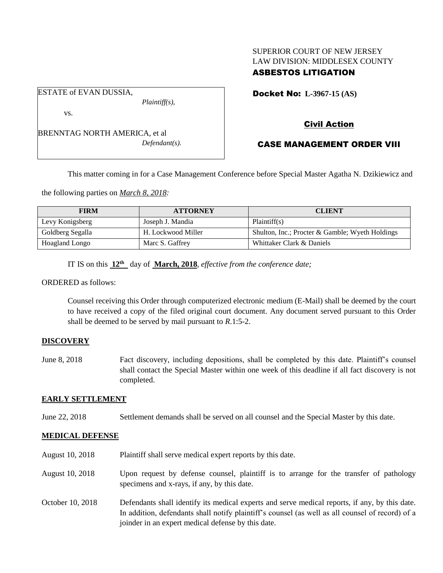# SUPERIOR COURT OF NEW JERSEY LAW DIVISION: MIDDLESEX COUNTY

## ASBESTOS LITIGATION

Docket No: **L-3967-15 (AS)** 

vs.

ESTATE of EVAN DUSSIA,

BRENNTAG NORTH AMERICA, et al *Defendant(s).*

*Plaintiff(s),*

Civil Action

## CASE MANAGEMENT ORDER VIII

This matter coming in for a Case Management Conference before Special Master Agatha N. Dzikiewicz and

the following parties on *March 8, 2018:*

| <b>FIRM</b>      | <b>ATTORNEY</b>    | <b>CLIENT</b>                                   |
|------------------|--------------------|-------------------------------------------------|
| Levy Konigsberg  | Joseph J. Mandia   | Plaintiff(s)                                    |
| Goldberg Segalla | H. Lockwood Miller | Shulton, Inc.; Procter & Gamble; Wyeth Holdings |
| Hoagland Longo   | Marc S. Gaffrey    | Whittaker Clark & Daniels                       |

IT IS on this  $12^{th}$  day of March, 2018, *effective from the conference date*;

ORDERED as follows:

Counsel receiving this Order through computerized electronic medium (E-Mail) shall be deemed by the court to have received a copy of the filed original court document. Any document served pursuant to this Order shall be deemed to be served by mail pursuant to *R*.1:5-2.

### **DISCOVERY**

June 8, 2018 Fact discovery, including depositions, shall be completed by this date. Plaintiff's counsel shall contact the Special Master within one week of this deadline if all fact discovery is not completed.

### **EARLY SETTLEMENT**

June 22, 2018 Settlement demands shall be served on all counsel and the Special Master by this date.

### **MEDICAL DEFENSE**

- August 10, 2018 Plaintiff shall serve medical expert reports by this date.
- August 10, 2018 Upon request by defense counsel, plaintiff is to arrange for the transfer of pathology specimens and x-rays, if any, by this date.
- October 10, 2018 Defendants shall identify its medical experts and serve medical reports, if any, by this date. In addition, defendants shall notify plaintiff's counsel (as well as all counsel of record) of a joinder in an expert medical defense by this date.